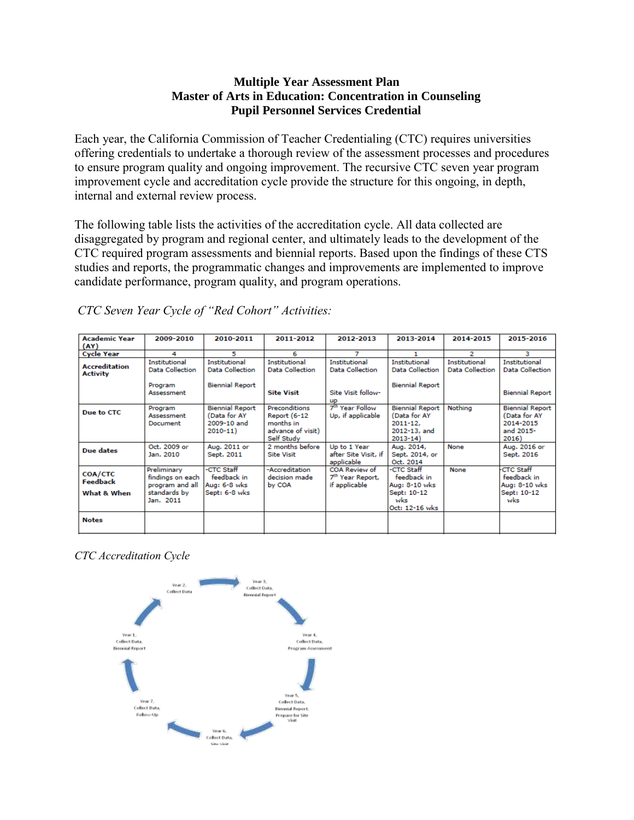### **Multiple Year Assessment Plan Master of Arts in Education: Concentration in Counseling Pupil Personnel Services Credential**

Each year, the California Commission of Teacher Credentialing (CTC) requires universities offering credentials to undertake a thorough review of the assessment processes and procedures to ensure program quality and ongoing improvement. The recursive CTC seven year program improvement cycle and accreditation cycle provide the structure for this ongoing, in depth, internal and external review process.

The following table lists the activities of the accreditation cycle. All data collected are disaggregated by program and regional center, and ultimately leads to the development of the CTC required program assessments and biennial reports. Based upon the findings of these CTS studies and reports, the programmatic changes and improvements are implemented to improve candidate performance, program quality, and program operations.

| <b>Academic Year</b><br>(AY)              | 2009-2010                                                                       | 2010-2011                                                             | 2011-2012                                                                                   | 2012-2013                                                      | 2013-2014                                                                             | 2014-2015                               | 2015-2016                                                                 |
|-------------------------------------------|---------------------------------------------------------------------------------|-----------------------------------------------------------------------|---------------------------------------------------------------------------------------------|----------------------------------------------------------------|---------------------------------------------------------------------------------------|-----------------------------------------|---------------------------------------------------------------------------|
| <b>Cycle Year</b>                         | 4                                                                               | 5                                                                     | 6                                                                                           |                                                                |                                                                                       | 2                                       | з                                                                         |
| <b>Accreditation</b><br><b>Activity</b>   | Institutional<br><b>Data Collection</b>                                         | Institutional<br><b>Data Collection</b>                               | Institutional<br><b>Data Collection</b>                                                     | Institutional<br>Data Collection                               | Institutional<br><b>Data Collection</b>                                               | Institutional<br><b>Data Collection</b> | Institutional<br><b>Data Collection</b>                                   |
|                                           | Program<br>Assessment                                                           | <b>Biennial Report</b>                                                | <b>Site Visit</b>                                                                           | Site Visit follow-<br><b>UD</b>                                | <b>Biennial Report</b>                                                                |                                         | <b>Biennial Report</b>                                                    |
| Due to CTC                                | Program<br>Assessment<br>Document                                               | <b>Biennial Report</b><br>(Data for AY<br>2009-10 and<br>$2010 - 11)$ | <b>Preconditions</b><br><b>Report (6-12</b><br>months in<br>advance of visit)<br>Self Study | 7 <sup>th</sup> Year Follow<br>Up, if applicable               | <b>Biennial Report</b><br>(Data for AY<br>$2011 - 12.$<br>2012-13, and<br>$2013 - 14$ | Nothina                                 | <b>Biennial Report</b><br>(Data for AY<br>2014-2015<br>and 2015-<br>2016) |
| Due dates                                 | Oct. 2009 or<br>Jan. 2010                                                       | Aug. 2011 or<br>Sept. 2011                                            | 2 months before<br><b>Site Visit</b>                                                        | Up to 1 Year<br>after Site Visit, if<br>applicable             | Aug. 2014,<br>Sept. 2014, or<br>Oct. 2014                                             | None                                    | Aug. 2016 or<br>Sept. 2016                                                |
| <b>COA/CTC</b><br>Feedback<br>What & When | Preliminary<br>findings on each<br>program and all<br>standards by<br>Jan. 2011 | -CTC Staff<br>feedback in<br>Aug: 6-8 wks<br>Sept: 6-8 wks            | -Accreditation<br>decision made<br>by COA                                                   | COA Review of<br>7 <sup>th</sup> Year Report,<br>if applicable | -CTC Staff<br>feedback in<br>Aug: 8-10 wks<br>Sept: 10-12<br>wks<br>Oct: 12-16 wks    | None                                    | <b>CTC Staff</b><br>feedback in<br>Aug: 8-10 wks<br>Sept: 10-12<br>wks    |
| <b>Notes</b>                              |                                                                                 |                                                                       |                                                                                             |                                                                |                                                                                       |                                         |                                                                           |

*CTC Seven Year Cycle of "Red Cohort" Activities:*

*CTC Accreditation Cycle*

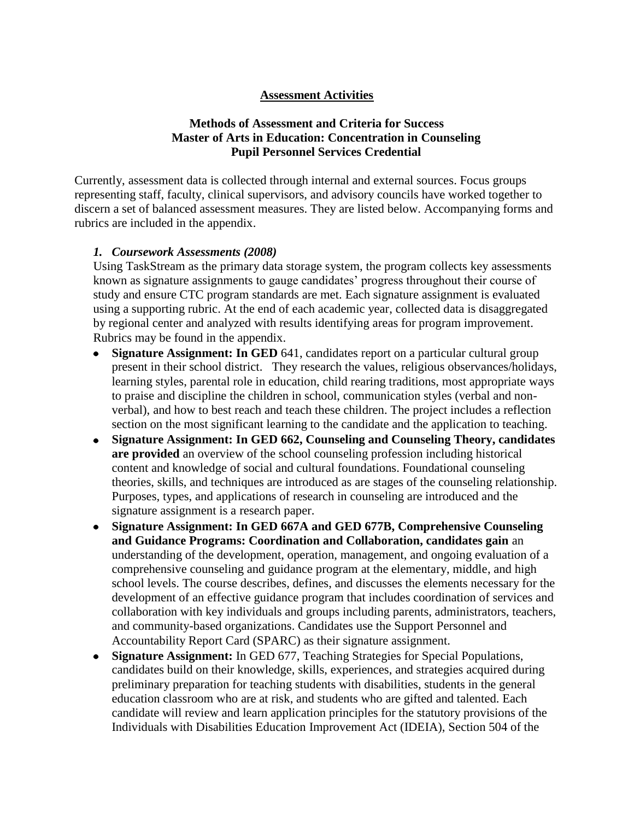#### **Assessment Activities**

## **Methods of Assessment and Criteria for Success Master of Arts in Education: Concentration in Counseling Pupil Personnel Services Credential**

Currently, assessment data is collected through internal and external sources. Focus groups representing staff, faculty, clinical supervisors, and advisory councils have worked together to discern a set of balanced assessment measures. They are listed below. Accompanying forms and rubrics are included in the appendix.

### *1. Coursework Assessments (2008)*

Using TaskStream as the primary data storage system, the program collects key assessments known as signature assignments to gauge candidates' progress throughout their course of study and ensure CTC program standards are met. Each signature assignment is evaluated using a supporting rubric. At the end of each academic year, collected data is disaggregated by regional center and analyzed with results identifying areas for program improvement. Rubrics may be found in the appendix.

- $\bullet$ **Signature Assignment: In GED** 641, candidates report on a particular cultural group present in their school district. They research the values, religious observances/holidays, learning styles, parental role in education, child rearing traditions, most appropriate ways to praise and discipline the children in school, communication styles (verbal and nonverbal), and how to best reach and teach these children. The project includes a reflection section on the most significant learning to the candidate and the application to teaching.
- **Signature Assignment: In GED 662, Counseling and Counseling Theory, candidates are provided** an overview of the school counseling profession including historical content and knowledge of social and cultural foundations. Foundational counseling theories, skills, and techniques are introduced as are stages of the counseling relationship. Purposes, types, and applications of research in counseling are introduced and the signature assignment is a research paper.
- **Signature Assignment: In GED 667A and GED 677B, Comprehensive Counseling**   $\bullet$ **and Guidance Programs: Coordination and Collaboration, candidates gain** an understanding of the development, operation, management, and ongoing evaluation of a comprehensive counseling and guidance program at the elementary, middle, and high school levels. The course describes, defines, and discusses the elements necessary for the development of an effective guidance program that includes coordination of services and collaboration with key individuals and groups including parents, administrators, teachers, and community-based organizations. Candidates use the Support Personnel and Accountability Report Card (SPARC) as their signature assignment.
- **Signature Assignment:** In GED 677, Teaching Strategies for Special Populations, candidates build on their knowledge, skills, experiences, and strategies acquired during preliminary preparation for teaching students with disabilities, students in the general education classroom who are at risk, and students who are gifted and talented. Each candidate will review and learn application principles for the statutory provisions of the Individuals with Disabilities Education Improvement Act (IDEIA), Section 504 of the